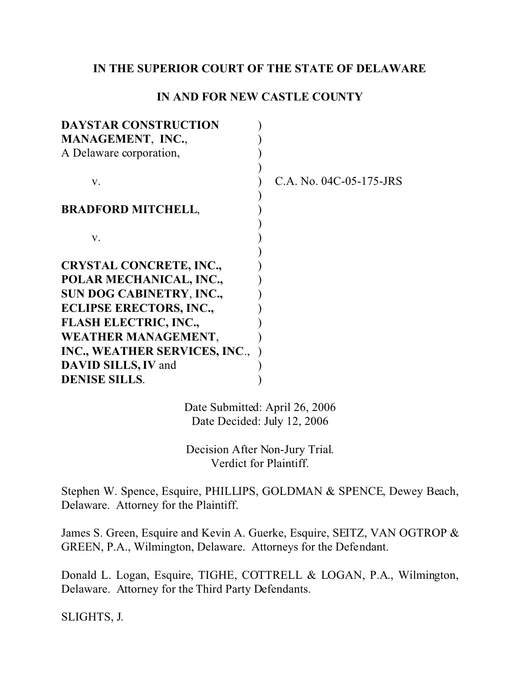### **IN THE SUPERIOR COURT OF THE STATE OF DELAWARE**

## **IN AND FOR NEW CASTLE COUNTY**

| <b>DAYSTAR CONSTRUCTION</b>     |                         |
|---------------------------------|-------------------------|
| MANAGEMENT, INC.,               |                         |
| A Delaware corporation,         |                         |
|                                 |                         |
| V.                              | C.A. No. 04C-05-175-JRS |
|                                 |                         |
| <b>BRADFORD MITCHELL,</b>       |                         |
|                                 |                         |
| V.                              |                         |
|                                 |                         |
| <b>CRYSTAL CONCRETE, INC.,</b>  |                         |
| POLAR MECHANICAL, INC.,         |                         |
| <b>SUN DOG CABINETRY, INC.,</b> |                         |
| <b>ECLIPSE ERECTORS, INC.,</b>  |                         |
| <b>FLASH ELECTRIC, INC.,</b>    |                         |
| <b>WEATHER MANAGEMENT,</b>      |                         |
| INC., WEATHER SERVICES, INC.,   |                         |
| DAVID SILLS, IV and             |                         |
| <b>DENISE SILLS.</b>            |                         |
|                                 |                         |

Date Submitted: April 26, 2006 Date Decided: July 12, 2006

Decision After Non-Jury Trial. Verdict for Plaintiff.

Stephen W. Spence, Esquire, PHILLIPS, GOLDMAN & SPENCE, Dewey Beach, Delaware. Attorney for the Plaintiff.

James S. Green, Esquire and Kevin A. Guerke, Esquire, SEITZ, VAN OGTROP & GREEN, P.A., Wilmington, Delaware. Attorneys for the Defendant.

Donald L. Logan, Esquire, TIGHE, COTTRELL & LOGAN, P.A., Wilmington, Delaware. Attorney for the Third Party Defendants.

SLIGHTS, J.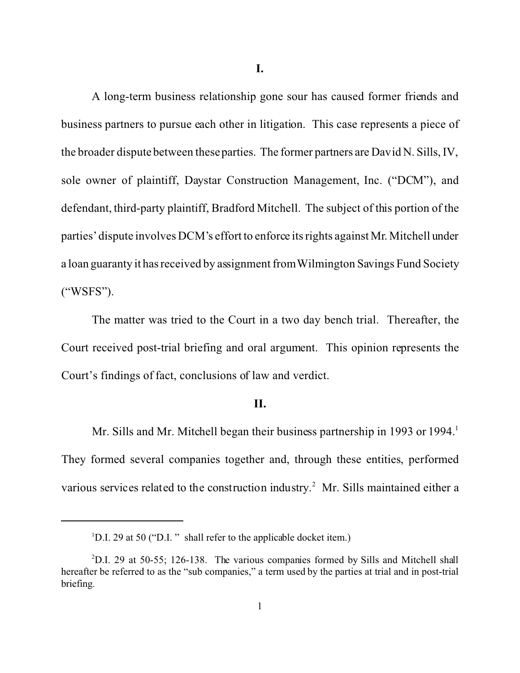**I.**

A long-term business relationship gone sour has caused former friends and business partners to pursue each other in litigation. This case represents a piece of the broader dispute between these parties. The former partners are David N. Sills, IV, sole owner of plaintiff, Daystar Construction Management, Inc. ("DCM"), and defendant, third-party plaintiff, Bradford Mitchell. The subject of this portion of the parties' dispute involves DCM's effort to enforce its rights against Mr. Mitchell under a loan guaranty it has received by assignment from Wilmington Savings Fund Society ("WSFS").

The matter was tried to the Court in a two day bench trial. Thereafter, the Court received post-trial briefing and oral argument. This opinion represents the Court's findings of fact, conclusions of law and verdict.

#### **II.**

Mr. Sills and Mr. Mitchell began their business partnership in 1993 or 1994.<sup>1</sup> They formed several companies together and, through these entities, performed various services related to the construction industry.<sup>2</sup> Mr. Sills maintained either a

<sup>&</sup>lt;sup>1</sup>D.I. 29 at 50 ("D.I." shall refer to the applicable docket item.)

<sup>2</sup>D.I. 29 at 50-55; 126-138. The various companies formed by Sills and Mitchell shall hereafter be referred to as the "sub companies," a term used by the parties at trial and in post-trial briefing.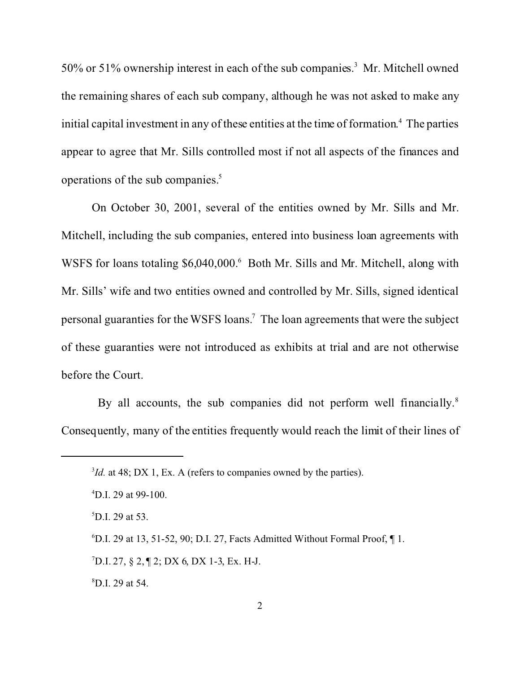50% or 51% ownership interest in each of the sub companies.<sup>3</sup> Mr. Mitchell owned the remaining shares of each sub company, although he was not asked to make any initial capital investment in any of these entities at the time of formation. 4 The parties appear to agree that Mr. Sills controlled most if not all aspects of the finances and operations of the sub companies.<sup>5</sup>

On October 30, 2001, several of the entities owned by Mr. Sills and Mr. Mitchell, including the sub companies, entered into business loan agreements with WSFS for loans totaling \$6,040,000.<sup>6</sup> Both Mr. Sills and Mr. Mitchell, along with Mr. Sills' wife and two entities owned and controlled by Mr. Sills, signed identical personal guaranties for the WSFS loans.<sup>7</sup> The loan agreements that were the subject of these guaranties were not introduced as exhibits at trial and are not otherwise before the Court.

By all accounts, the sub companies did not perform well financially.<sup>8</sup> Consequently, many of the entities frequently would reach the limit of their lines of

 ${}^{7}$ D.I. 27, § 2, ¶ 2; DX 6, DX 1-3, Ex. H-J.

<sup>8</sup>D.I. 29 at 54.

<sup>&</sup>lt;sup>3</sup>*Id.* at 48; DX 1, Ex. A (refers to companies owned by the parties).

<sup>4</sup>D.I. 29 at 99-100.

 ${}^{5}$ D.I. 29 at 53.

 $6$ D.I. 29 at 13, 51-52, 90; D.I. 27, Facts Admitted Without Formal Proof,  $\P$  1.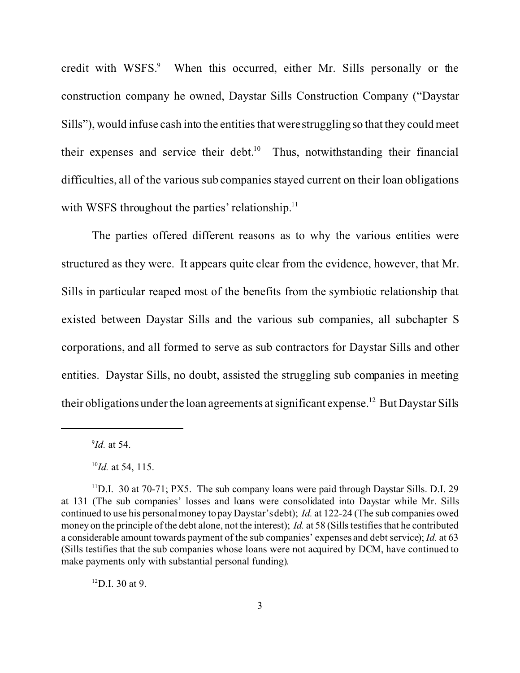credit with WSFS.<sup>9</sup> When this occurred, either Mr. Sills personally or the construction company he owned, Daystar Sills Construction Company ("Daystar Sills"), would infuse cash into the entities that were struggling so that they could meet their expenses and service their debt.<sup>10</sup> Thus, notwithstanding their financial difficulties, all of the various sub companies stayed current on their loan obligations with WSFS throughout the parties' relationship. $11$ 

The parties offered different reasons as to why the various entities were structured as they were. It appears quite clear from the evidence, however, that Mr. Sills in particular reaped most of the benefits from the symbiotic relationship that existed between Daystar Sills and the various sub companies, all subchapter S corporations, and all formed to serve as sub contractors for Daystar Sills and other entities. Daystar Sills, no doubt, assisted the struggling sub companies in meeting their obligations under the loan agreements at significant expense.<sup>12</sup> But Daystar Sills

 $^{12}$ D.I. 30 at 9.

<sup>9</sup> *Id.* at 54.

<sup>10</sup>*Id.* at 54, 115.

<sup>&</sup>lt;sup>11</sup>D.I. 30 at 70-71; PX5. The sub company loans were paid through Daystar Sills. D.I. 29 at 131 (The sub companies' losses and loans were consolidated into Daystar while Mr. Sills continued to use his personal money to pay Daystar's debt); *Id.* at 122-24 (The sub companies owed money on the principle of the debt alone, not the interest); *Id.* at 58 (Sills testifies that he contributed a considerable amount towards payment of the sub companies' expenses and debt service); *Id.* at 63 (Sills testifies that the sub companies whose loans were not acquired by DCM, have continued to make payments only with substantial personal funding).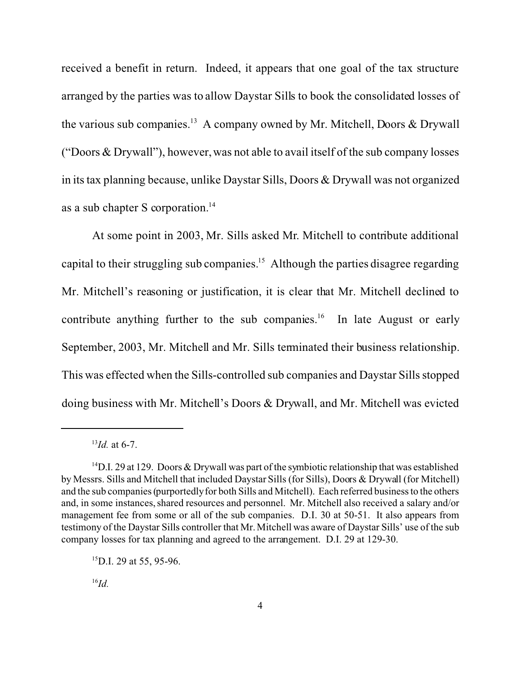received a benefit in return. Indeed, it appears that one goal of the tax structure arranged by the parties was to allow Daystar Sills to book the consolidated losses of the various sub companies.<sup>13</sup> A company owned by Mr. Mitchell, Doors & Drywall ("Doors & Drywall"), however, was not able to avail itself of the sub company losses in its tax planning because, unlike Daystar Sills, Doors & Drywall was not organized as a sub chapter S corporation.<sup>14</sup>

At some point in 2003, Mr. Sills asked Mr. Mitchell to contribute additional capital to their struggling sub companies.<sup>15</sup> Although the parties disagree regarding Mr. Mitchell's reasoning or justification, it is clear that Mr. Mitchell declined to contribute anything further to the sub companies.<sup>16</sup> In late August or early September, 2003, Mr. Mitchell and Mr. Sills terminated their business relationship. This was effected when the Sills-controlled sub companies and Daystar Sills stopped doing business with Mr. Mitchell's Doors & Drywall, and Mr. Mitchell was evicted

<sup>16</sup>*Id.*

<sup>13</sup>*Id.* at 6-7.

<sup>&</sup>lt;sup>14</sup>D.I. 29 at 129. Doors & Drywall was part of the symbiotic relationship that was established by Messrs. Sills and Mitchell that included Daystar Sills (for Sills), Doors & Drywall (for Mitchell) and the sub companies (purportedly for both Sills and Mitchell). Each referred business to the others and, in some instances, shared resources and personnel. Mr. Mitchell also received a salary and/or management fee from some or all of the sub companies. D.I. 30 at 50-51. It also appears from testimony of the Daystar Sills controller that Mr. Mitchell was aware of Daystar Sills' use of the sub company losses for tax planning and agreed to the arrangement. D.I. 29 at 129-30.

<sup>&</sup>lt;sup>15</sup>D.I. 29 at 55, 95-96.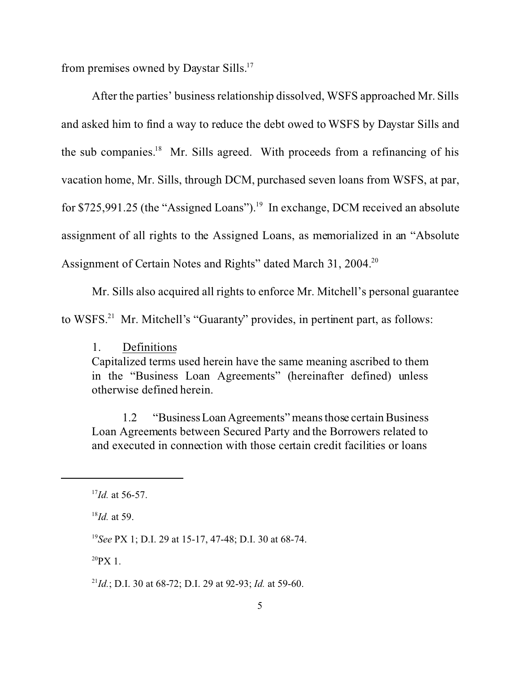from premises owned by Daystar Sills.<sup>17</sup>

After the parties' business relationship dissolved, WSFS approached Mr. Sills and asked him to find a way to reduce the debt owed to WSFS by Daystar Sills and the sub companies.<sup>18</sup> Mr. Sills agreed. With proceeds from a refinancing of his vacation home, Mr. Sills, through DCM, purchased seven loans from WSFS, at par, for \$725,991.25 (the "Assigned Loans").<sup>19</sup> In exchange, DCM received an absolute assignment of all rights to the Assigned Loans, as memorialized in an "Absolute Assignment of Certain Notes and Rights" dated March 31, 2004.<sup>20</sup>

Mr. Sills also acquired all rights to enforce Mr. Mitchell's personal guarantee to WSFS.<sup>21</sup> Mr. Mitchell's "Guaranty" provides, in pertinent part, as follows:

### 1. Definitions

Capitalized terms used herein have the same meaning ascribed to them in the "Business Loan Agreements" (hereinafter defined) unless otherwise defined herein.

1.2 "BusinessLoanAgreements" means those certain Business Loan Agreements between Secured Party and the Borrowers related to and executed in connection with those certain credit facilities or loans

 $^{20}$ PX 1.

<sup>21</sup>*Id.*; D.I. 30 at 68-72; D.I. 29 at 92-93; *Id.* at 59-60.

<sup>17</sup>*Id.* at 56-57.

<sup>18</sup>*Id.* at 59.

<sup>19</sup>*See* PX 1; D.I. 29 at 15-17, 47-48; D.I. 30 at 68-74.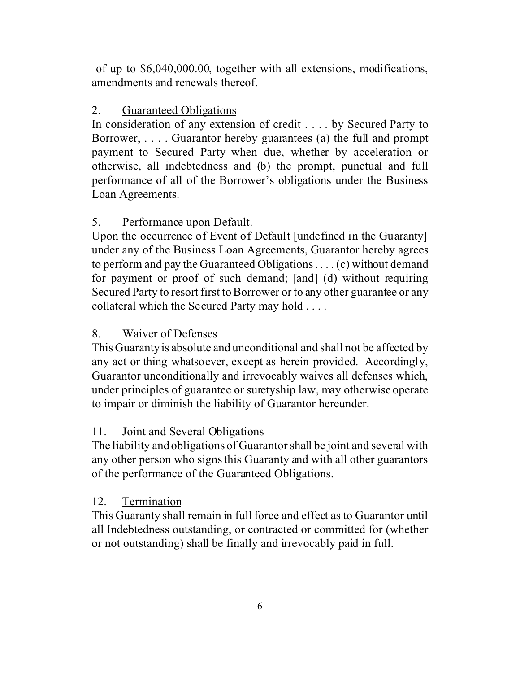of up to \$6,040,000.00, together with all extensions, modifications, amendments and renewals thereof.

# 2. Guaranteed Obligations

In consideration of any extension of credit . . . . by Secured Party to Borrower, . . . . Guarantor hereby guarantees (a) the full and prompt payment to Secured Party when due, whether by acceleration or otherwise, all indebtedness and (b) the prompt, punctual and full performance of all of the Borrower's obligations under the Business Loan Agreements.

# 5. Performance upon Default.

Upon the occurrence of Event of Default [undefined in the Guaranty] under any of the Business Loan Agreements, Guarantor hereby agrees to perform and pay the Guaranteed Obligations . . . . (c) without demand for payment or proof of such demand; [and] (d) without requiring Secured Party to resort first to Borrower or to any other guarantee or any collateral which the Secured Party may hold . . . .

# 8. Waiver of Defenses

This Guaranty is absolute and unconditional and shall not be affected by any act or thing whatsoever, except as herein provided. Accordingly, Guarantor unconditionally and irrevocably waives all defenses which, under principles of guarantee or suretyship law, may otherwise operate to impair or diminish the liability of Guarantor hereunder.

# 11. Joint and Several Obligations

The liability and obligations of Guarantor shall be joint and several with any other person who signs this Guaranty and with all other guarantors of the performance of the Guaranteed Obligations.

# 12. Termination

This Guaranty shall remain in full force and effect as to Guarantor until all Indebtedness outstanding, or contracted or committed for (whether or not outstanding) shall be finally and irrevocably paid in full.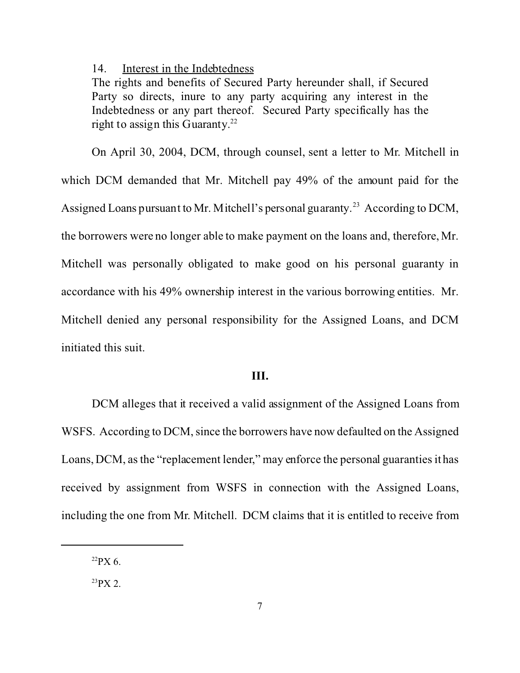#### 14. Interest in the Indebtedness

The rights and benefits of Secured Party hereunder shall, if Secured Party so directs, inure to any party acquiring any interest in the Indebtedness or any part thereof. Secured Party specifically has the right to assign this Guaranty.<sup>22</sup>

On April 30, 2004, DCM, through counsel, sent a letter to Mr. Mitchell in which DCM demanded that Mr. Mitchell pay 49% of the amount paid for the Assigned Loans pursuant to Mr. Mitchell's personal guaranty.<sup>23</sup> According to DCM, the borrowers were no longer able to make payment on the loans and, therefore, Mr. Mitchell was personally obligated to make good on his personal guaranty in accordance with his 49% ownership interest in the various borrowing entities. Mr. Mitchell denied any personal responsibility for the Assigned Loans, and DCM initiated this suit.

### **III.**

DCM alleges that it received a valid assignment of the Assigned Loans from WSFS. According to DCM, since the borrowers have now defaulted on the Assigned Loans, DCM, as the "replacement lender," may enforce the personal guaranties it has received by assignment from WSFS in connection with the Assigned Loans, including the one from Mr. Mitchell. DCM claims that it is entitled to receive from

 $^{22}$ PX 6.

 $^{23}$ PX 2.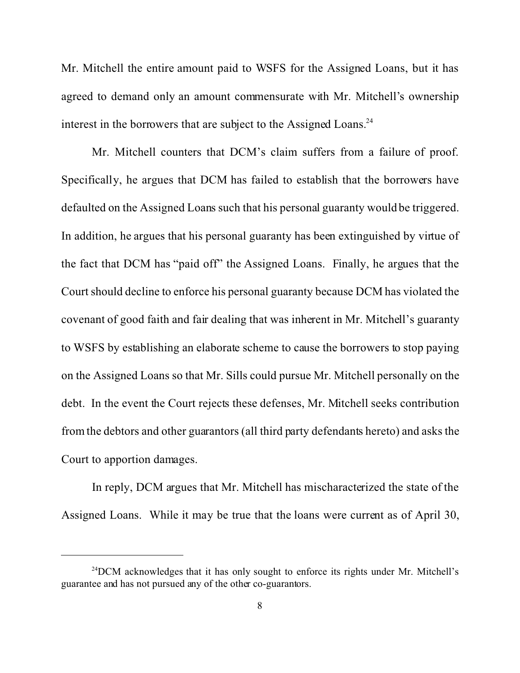Mr. Mitchell the entire amount paid to WSFS for the Assigned Loans, but it has agreed to demand only an amount commensurate with Mr. Mitchell's ownership interest in the borrowers that are subject to the Assigned Loans.<sup>24</sup>

Mr. Mitchell counters that DCM's claim suffers from a failure of proof. Specifically, he argues that DCM has failed to establish that the borrowers have defaulted on the Assigned Loans such that his personal guaranty would be triggered. In addition, he argues that his personal guaranty has been extinguished by virtue of the fact that DCM has "paid off" the Assigned Loans. Finally, he argues that the Court should decline to enforce his personal guaranty because DCM has violated the covenant of good faith and fair dealing that was inherent in Mr. Mitchell's guaranty to WSFS by establishing an elaborate scheme to cause the borrowers to stop paying on the Assigned Loans so that Mr. Sills could pursue Mr. Mitchell personally on the debt. In the event the Court rejects these defenses, Mr. Mitchell seeks contribution from the debtors and other guarantors (all third party defendants hereto) and asks the Court to apportion damages.

In reply, DCM argues that Mr. Mitchell has mischaracterized the state of the Assigned Loans. While it may be true that the loans were current as of April 30,

 $^{24}$ DCM acknowledges that it has only sought to enforce its rights under Mr. Mitchell's guarantee and has not pursued any of the other co-guarantors.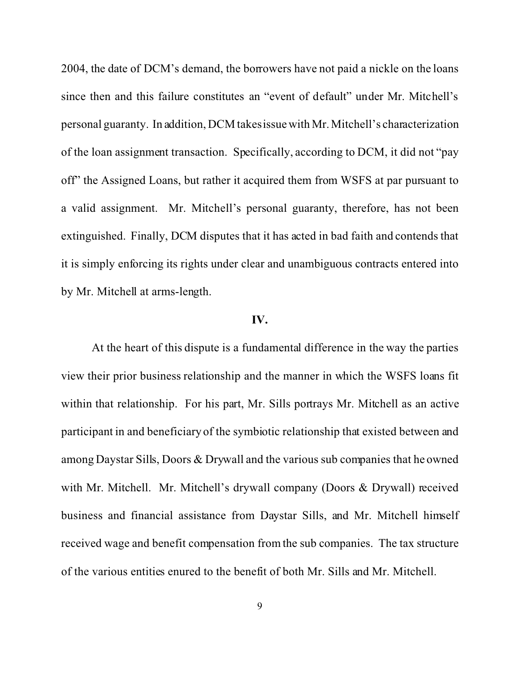2004, the date of DCM's demand, the borrowers have not paid a nickle on the loans since then and this failure constitutes an "event of default" under Mr. Mitchell's personal guaranty. In addition, DCM takes issue with Mr. Mitchell's characterization of the loan assignment transaction. Specifically, according to DCM, it did not "pay off" the Assigned Loans, but rather it acquired them from WSFS at par pursuant to a valid assignment. Mr. Mitchell's personal guaranty, therefore, has not been extinguished. Finally, DCM disputes that it has acted in bad faith and contends that it is simply enforcing its rights under clear and unambiguous contracts entered into by Mr. Mitchell at arms-length.

#### **IV.**

At the heart of this dispute is a fundamental difference in the way the parties view their prior business relationship and the manner in which the WSFS loans fit within that relationship. For his part, Mr. Sills portrays Mr. Mitchell as an active participant in and beneficiary of the symbiotic relationship that existed between and among Daystar Sills, Doors & Drywall and the various sub companies that he owned with Mr. Mitchell. Mr. Mitchell's drywall company (Doors & Drywall) received business and financial assistance from Daystar Sills, and Mr. Mitchell himself received wage and benefit compensation from the sub companies. The tax structure of the various entities enured to the benefit of both Mr. Sills and Mr. Mitchell.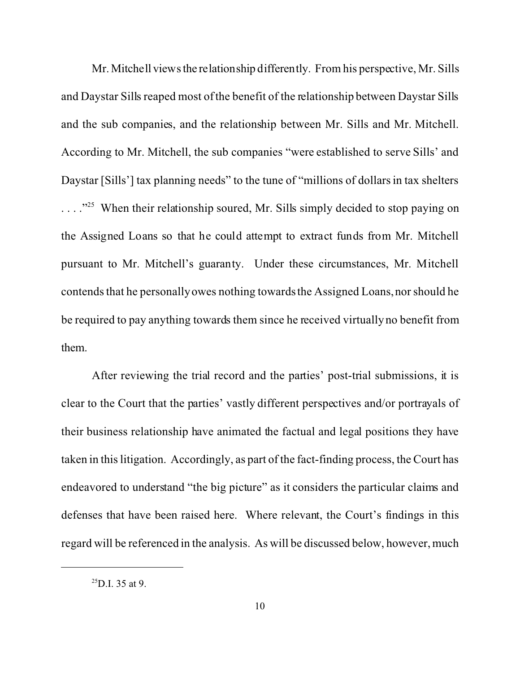Mr. Mitchell views the relationship differently. From his perspective, Mr. Sills and Daystar Sills reaped most of the benefit of the relationship between Daystar Sills and the sub companies, and the relationship between Mr. Sills and Mr. Mitchell. According to Mr. Mitchell, the sub companies "were established to serve Sills' and Daystar [Sills'] tax planning needs" to the tune of "millions of dollars in tax shelters . . . ."<sup>25</sup> When their relationship soured, Mr. Sills simply decided to stop paying on the Assigned Loans so that he could attempt to extract funds from Mr. Mitchell pursuant to Mr. Mitchell's guaranty. Under these circumstances, Mr. Mitchell contends that he personally owes nothing towards the Assigned Loans, nor should he be required to pay anything towards them since he received virtually no benefit from them.

After reviewing the trial record and the parties' post-trial submissions, it is clear to the Court that the parties' vastly different perspectives and/or portrayals of their business relationship have animated the factual and legal positions they have taken in this litigation. Accordingly, as part of the fact-finding process, the Court has endeavored to understand "the big picture" as it considers the particular claims and defenses that have been raised here. Where relevant, the Court's findings in this regard will be referenced in the analysis. As will be discussed below, however, much

 $^{25}$ D.I. 35 at 9.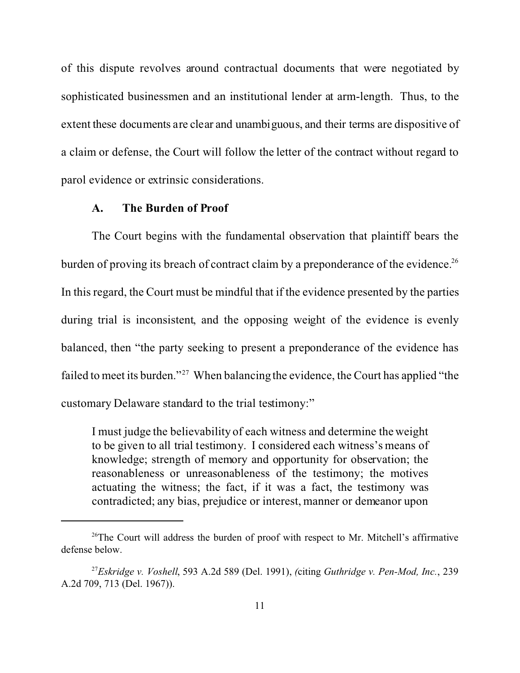of this dispute revolves around contractual documents that were negotiated by sophisticated businessmen and an institutional lender at arm-length. Thus, to the extent these documents are clear and unambiguous, and their terms are dispositive of a claim or defense, the Court will follow the letter of the contract without regard to parol evidence or extrinsic considerations.

### **A. The Burden of Proof**

The Court begins with the fundamental observation that plaintiff bears the burden of proving its breach of contract claim by a preponderance of the evidence.<sup>26</sup> In this regard, the Court must be mindful that if the evidence presented by the parties during trial is inconsistent, and the opposing weight of the evidence is evenly balanced, then "the party seeking to present a preponderance of the evidence has failed to meet its burden."<sup>27</sup> When balancing the evidence, the Court has applied "the customary Delaware standard to the trial testimony:"

I must judge the believability of each witness and determine the weight to be given to all trial testimony. I considered each witness's means of knowledge; strength of memory and opportunity for observation; the reasonableness or unreasonableness of the testimony; the motives actuating the witness; the fact, if it was a fact, the testimony was contradicted; any bias, prejudice or interest, manner or demeanor upon

<sup>&</sup>lt;sup>26</sup>The Court will address the burden of proof with respect to Mr. Mitchell's affirmative defense below.

<sup>27</sup>*Eskridge v. Voshell*, 593 A.2d 589 (Del. 1991), *(*citing *Guthridge v. Pen-Mod, Inc.*, 239 A.2d 709, 713 (Del. 1967)).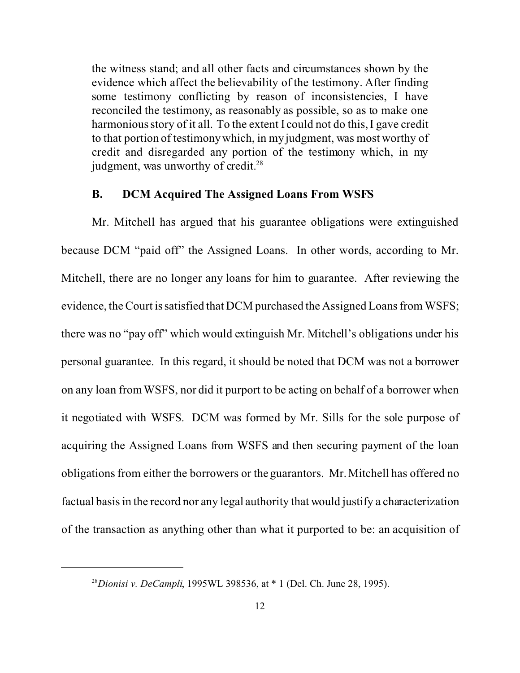the witness stand; and all other facts and circumstances shown by the evidence which affect the believability of the testimony. After finding some testimony conflicting by reason of inconsistencies, I have reconciled the testimony, as reasonably as possible, so as to make one harmonious story of it all. To the extent I could not do this, I gave credit to that portion of testimony which, in my judgment, was most worthy of credit and disregarded any portion of the testimony which, in my judgment, was unworthy of credit. $28$ 

### **B. DCM Acquired The Assigned Loans From WSFS**

Mr. Mitchell has argued that his guarantee obligations were extinguished because DCM "paid off" the Assigned Loans. In other words, according to Mr. Mitchell, there are no longer any loans for him to guarantee. After reviewing the evidence, the Court is satisfied that DCM purchased the Assigned Loans from WSFS; there was no "pay off" which would extinguish Mr. Mitchell's obligations under his personal guarantee. In this regard, it should be noted that DCM was not a borrower on any loan from WSFS, nor did it purport to be acting on behalf of a borrower when it negotiated with WSFS. DCM was formed by Mr. Sills for the sole purpose of acquiring the Assigned Loans from WSFS and then securing payment of the loan obligations from either the borrowers or the guarantors. Mr. Mitchell has offered no factual basis in the record nor any legal authority that would justify a characterization of the transaction as anything other than what it purported to be: an acquisition of

<sup>28</sup>*Dionisi v. DeCampli*, 1995WL 398536, at \* 1 (Del. Ch. June 28, 1995).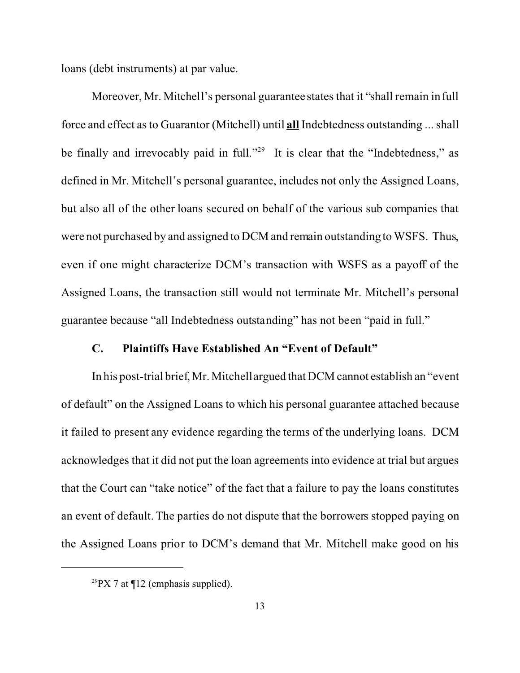loans (debt instruments) at par value.

Moreover, Mr. Mitchell's personal guarantee states that it "shall remain in full force and effect as to Guarantor (Mitchell) until **all** Indebtedness outstanding ... shall be finally and irrevocably paid in full."<sup>29</sup> It is clear that the "Indebtedness," as defined in Mr. Mitchell's personal guarantee, includes not only the Assigned Loans, but also all of the other loans secured on behalf of the various sub companies that were not purchased by and assigned to DCM and remain outstanding to WSFS. Thus, even if one might characterize DCM's transaction with WSFS as a payoff of the Assigned Loans, the transaction still would not terminate Mr. Mitchell's personal guarantee because "all Indebtedness outstanding" has not been "paid in full."

#### **C. Plaintiffs Have Established An "Event of Default"**

In his post-trial brief, Mr. Mitchell argued that DCM cannot establish an "event of default" on the Assigned Loans to which his personal guarantee attached because it failed to present any evidence regarding the terms of the underlying loans. DCM acknowledges that it did not put the loan agreements into evidence at trial but argues that the Court can "take notice" of the fact that a failure to pay the loans constitutes an event of default. The parties do not dispute that the borrowers stopped paying on the Assigned Loans prior to DCM's demand that Mr. Mitchell make good on his

 $^{29}PX$  7 at ¶12 (emphasis supplied).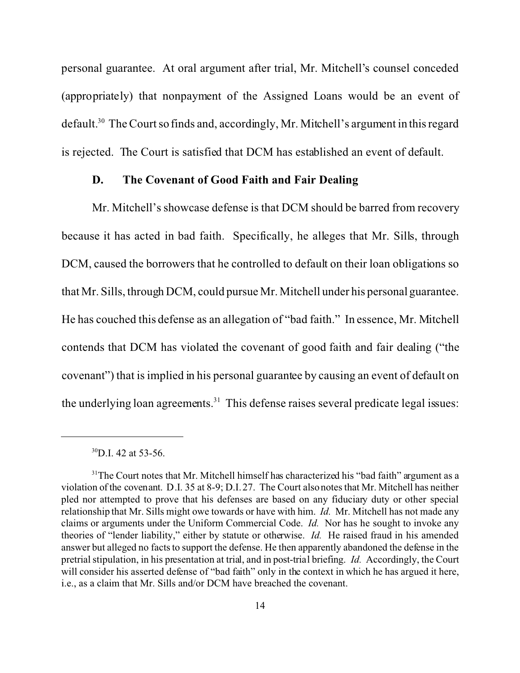personal guarantee. At oral argument after trial, Mr. Mitchell's counsel conceded (appropriately) that nonpayment of the Assigned Loans would be an event of default.<sup>30</sup> The Court so finds and, accordingly, Mr. Mitchell's argument in this regard is rejected. The Court is satisfied that DCM has established an event of default.

#### **D. The Covenant of Good Faith and Fair Dealing**

Mr. Mitchell's showcase defense is that DCM should be barred from recovery because it has acted in bad faith. Specifically, he alleges that Mr. Sills, through DCM, caused the borrowers that he controlled to default on their loan obligations so that Mr. Sills, through DCM, could pursue Mr. Mitchell under his personal guarantee. He has couched this defense as an allegation of "bad faith." In essence, Mr. Mitchell contends that DCM has violated the covenant of good faith and fair dealing ("the covenant") that is implied in his personal guarantee by causing an event of default on the underlying loan agreements. $31$  This defense raises several predicate legal issues:

 $^{30}$ D.I. 42 at 53-56.

<sup>&</sup>lt;sup>31</sup>The Court notes that Mr. Mitchell himself has characterized his "bad faith" argument as a violation of the covenant. D.I. 35 at 8-9; D.I. 27. The Court also notes that Mr. Mitchell has neither pled nor attempted to prove that his defenses are based on any fiduciary duty or other special relationship that Mr. Sills might owe towards or have with him. *Id.* Mr. Mitchell has not made any claims or arguments under the Uniform Commercial Code. *Id.* Nor has he sought to invoke any theories of "lender liability," either by statute or otherwise. *Id.* He raised fraud in his amended answer but alleged no facts to support the defense. He then apparently abandoned the defense in the pretrial stipulation, in his presentation at trial, and in post-trial briefing. *Id.* Accordingly, the Court will consider his asserted defense of "bad faith" only in the context in which he has argued it here, i.e., as a claim that Mr. Sills and/or DCM have breached the covenant.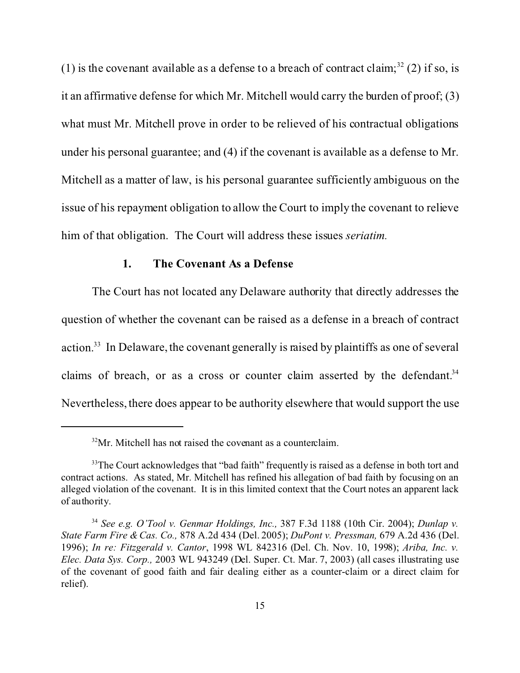(1) is the covenant available as a defense to a breach of contract claim;<sup>32</sup> (2) if so, is it an affirmative defense for which Mr. Mitchell would carry the burden of proof; (3) what must Mr. Mitchell prove in order to be relieved of his contractual obligations under his personal guarantee; and (4) if the covenant is available as a defense to Mr. Mitchell as a matter of law, is his personal guarantee sufficiently ambiguous on the issue of his repayment obligation to allow the Court to imply the covenant to relieve him of that obligation. The Court will address these issues *seriatim.* 

### **1. The Covenant As a Defense**

The Court has not located any Delaware authority that directly addresses the question of whether the covenant can be raised as a defense in a breach of contract action.<sup>33</sup> In Delaware, the covenant generally is raised by plaintiffs as one of several claims of breach, or as a cross or counter claim asserted by the defendant.<sup>34</sup> Nevertheless, there does appear to be authority elsewhere that would support the use

 $32\text{Mr}$ . Mitchell has not raised the covenant as a counterclaim.

<sup>&</sup>lt;sup>33</sup>The Court acknowledges that "bad faith" frequently is raised as a defense in both tort and contract actions. As stated, Mr. Mitchell has refined his allegation of bad faith by focusing on an alleged violation of the covenant. It is in this limited context that the Court notes an apparent lack of authority.

<sup>34</sup> *See e.g. O'Tool v. Genmar Holdings, Inc.,* 387 F.3d 1188 (10th Cir. 2004); *Dunlap v. State Farm Fire & Cas. Co.,* 878 A.2d 434 (Del. 2005); *DuPont v. Pressman,* 679 A.2d 436 (Del. 1996); *In re: Fitzgerald v. Cantor*, 1998 WL 842316 (Del. Ch. Nov. 10, 1998); *Ariba, Inc. v. Elec. Data Sys. Corp.,* 2003 WL 943249 (Del. Super. Ct. Mar. 7, 2003) (all cases illustrating use of the covenant of good faith and fair dealing either as a counter-claim or a direct claim for relief).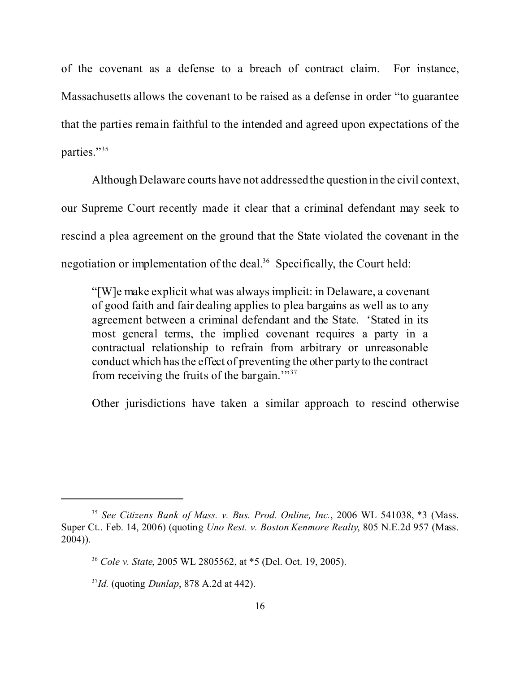of the covenant as a defense to a breach of contract claim. For instance, Massachusetts allows the covenant to be raised as a defense in order "to guarantee that the parties remain faithful to the intended and agreed upon expectations of the parties."<sup>35</sup>

Although Delaware courts have not addressed the question in the civil context, our Supreme Court recently made it clear that a criminal defendant may seek to rescind a plea agreement on the ground that the State violated the covenant in the negotiation or implementation of the deal.<sup>36</sup> Specifically, the Court held:

 "[W]e make explicit what was always implicit: in Delaware, a covenant of good faith and fair dealing applies to plea bargains as well as to any agreement between a criminal defendant and the State. 'Stated in its most general terms, the implied covenant requires a party in a contractual relationship to refrain from arbitrary or unreasonable conduct which has the effect of preventing the other party to the contract from receiving the fruits of the bargain.'"<sup>37</sup>

Other jurisdictions have taken a similar approach to rescind otherwise

<sup>35</sup> *See Citizens Bank of Mass. v. Bus. Prod. Online, Inc.*, 2006 WL 541038, \*3 (Mass. Super Ct.. Feb. 14, 2006) (quoting *Uno Rest. v. Boston Kenmore Realty*, 805 N.E.2d 957 (Mass. 2004)).

<sup>36</sup> *Cole v. State*, 2005 WL 2805562, at \*5 (Del. Oct. 19, 2005).

<sup>37</sup>*Id.* (quoting *Dunlap*, 878 A.2d at 442).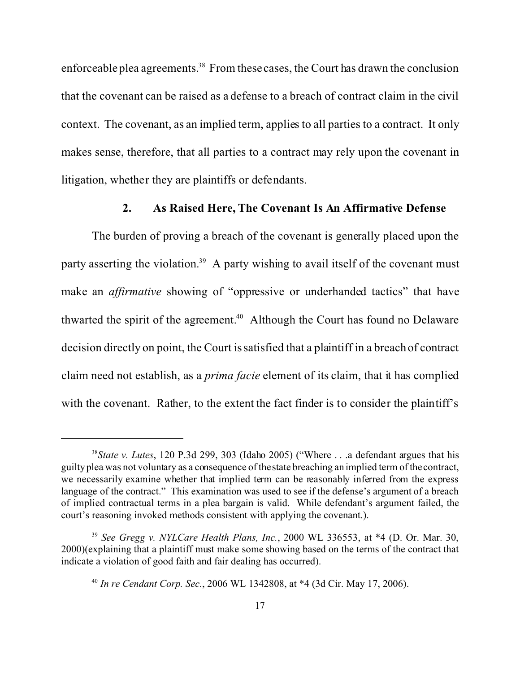enforceable plea agreements.<sup>38</sup> From these cases, the Court has drawn the conclusion that the covenant can be raised as a defense to a breach of contract claim in the civil context. The covenant, as an implied term, applies to all parties to a contract. It only makes sense, therefore, that all parties to a contract may rely upon the covenant in litigation, whether they are plaintiffs or defendants.

### **2. As Raised Here, The Covenant Is An Affirmative Defense**

The burden of proving a breach of the covenant is generally placed upon the party asserting the violation.<sup>39</sup> A party wishing to avail itself of the covenant must make an *affirmative* showing of "oppressive or underhanded tactics" that have thwarted the spirit of the agreement.<sup>40</sup> Although the Court has found no Delaware decision directly on point, the Court is satisfied that a plaintiff in a breach of contract claim need not establish, as a *prima facie* element of its claim, that it has complied with the covenant. Rather, to the extent the fact finder is to consider the plaintiff's

<sup>38</sup>*State v. Lutes*, 120 P.3d 299, 303 (Idaho 2005) ("Where . . .a defendant argues that his guilty plea was not voluntary as a consequence of the state breaching an implied term of the contract, we necessarily examine whether that implied term can be reasonably inferred from the express language of the contract." This examination was used to see if the defense's argument of a breach of implied contractual terms in a plea bargain is valid. While defendant's argument failed, the court's reasoning invoked methods consistent with applying the covenant.).

<sup>39</sup> *See Gregg v. NYLCare Health Plans, Inc.*, 2000 WL 336553, at \*4 (D. Or. Mar. 30, 2000)(explaining that a plaintiff must make some showing based on the terms of the contract that indicate a violation of good faith and fair dealing has occurred).

<sup>40</sup> *In re Cendant Corp. Sec.*, 2006 WL 1342808, at \*4 (3d Cir. May 17, 2006).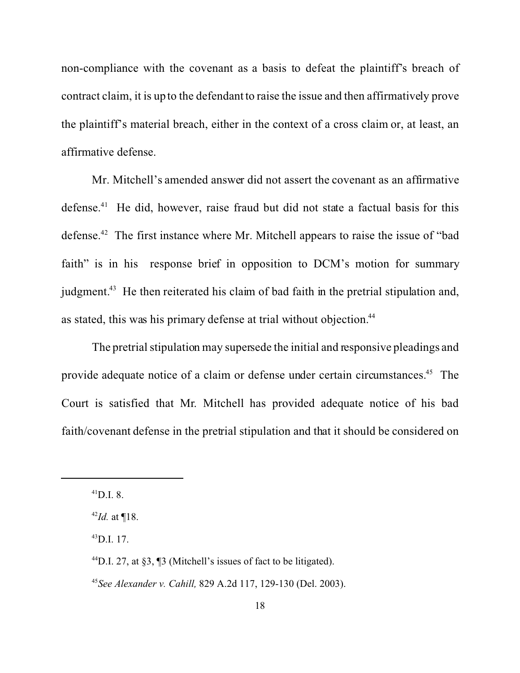non-compliance with the covenant as a basis to defeat the plaintiff's breach of contract claim, it is up to the defendant to raise the issue and then affirmatively prove the plaintiff's material breach, either in the context of a cross claim or, at least, an affirmative defense.

Mr. Mitchell's amended answer did not assert the covenant as an affirmative defense.<sup>41</sup> He did, however, raise fraud but did not state a factual basis for this defense.<sup>42</sup> The first instance where Mr. Mitchell appears to raise the issue of "bad faith" is in his response brief in opposition to DCM's motion for summary judgment.<sup>43</sup> He then reiterated his claim of bad faith in the pretrial stipulation and, as stated, this was his primary defense at trial without objection.<sup>44</sup>

The pretrial stipulation may supersede the initial and responsive pleadings and provide adequate notice of a claim or defense under certain circumstances.<sup>45</sup> The Court is satisfied that Mr. Mitchell has provided adequate notice of his bad faith/covenant defense in the pretrial stipulation and that it should be considered on

 $^{41}$ D.I. 8.

<sup>42</sup>*Id.* at ¶18.

 $^{43}$ D.I. 17.

 $^{44}$ D.I. 27, at §3, ¶3 (Mitchell's issues of fact to be litigated).

<sup>45</sup>*See Alexander v. Cahill,* 829 A.2d 117, 129-130 (Del. 2003).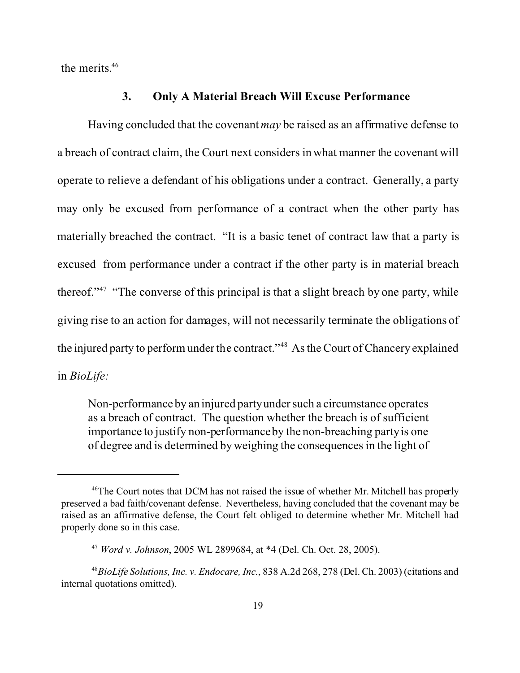the merits.<sup>46</sup>

### **3. Only A Material Breach Will Excuse Performance**

Having concluded that the covenant *may* be raised as an affirmative defense to a breach of contract claim, the Court next considers in what manner the covenant will operate to relieve a defendant of his obligations under a contract. Generally, a party may only be excused from performance of a contract when the other party has materially breached the contract. "It is a basic tenet of contract law that a party is excused from performance under a contract if the other party is in material breach thereof."<sup>47</sup> "The converse of this principal is that a slight breach by one party, while giving rise to an action for damages, will not necessarily terminate the obligations of the injured party to perform under the contract."<sup>48</sup> As the Court of Chancery explained in *BioLife:* 

Non-performance by an injured party under such a circumstance operates as a breach of contract. The question whether the breach is of sufficient importance to justify non-performance by the non-breaching party is one of degree and is determined by weighing the consequences in the light of

<sup>&</sup>lt;sup>46</sup>The Court notes that DCM has not raised the issue of whether Mr. Mitchell has properly preserved a bad faith/covenant defense. Nevertheless, having concluded that the covenant may be raised as an affirmative defense, the Court felt obliged to determine whether Mr. Mitchell had properly done so in this case.

<sup>47</sup> *Word v. Johnson*, 2005 WL 2899684, at \*4 (Del. Ch. Oct. 28, 2005).

<sup>48</sup>*BioLife Solutions, Inc. v. Endocare, Inc.*, 838 A.2d 268, 278 (Del. Ch. 2003) (citations and internal quotations omitted).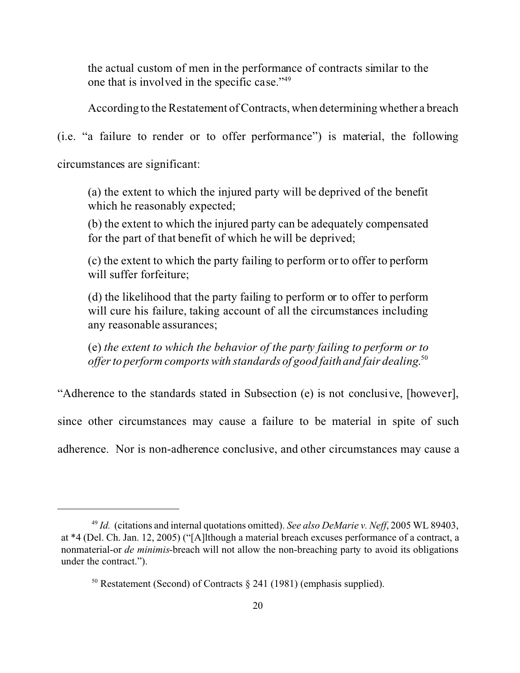the actual custom of men in the performance of contracts similar to the one that is involved in the specific case."<sup>49</sup>

According to the Restatement of Contracts, when determining whether a breach

(i.e. "a failure to render or to offer performance") is material, the following

circumstances are significant:

(a) the extent to which the injured party will be deprived of the benefit which he reasonably expected;

(b) the extent to which the injured party can be adequately compensated for the part of that benefit of which he will be deprived;

(c) the extent to which the party failing to perform or to offer to perform will suffer forfeiture;

(d) the likelihood that the party failing to perform or to offer to perform will cure his failure, taking account of all the circumstances including any reasonable assurances;

(e) *the extent to which the behavior of the party failing to perform or to offer to perform comports with standards of good faith and fair dealing*. 50

"Adherence to the standards stated in Subsection (e) is not conclusive, [however],

since other circumstances may cause a failure to be material in spite of such

adherence. Nor is non-adherence conclusive, and other circumstances may cause a

<sup>49</sup> *Id.* (citations and internal quotations omitted). *See also DeMarie v. Neff*, 2005 WL 89403, at \*4 (Del. Ch. Jan. 12, 2005) ("[A]lthough a material breach excuses performance of a contract, a nonmaterial-or *de minimis*-breach will not allow the non-breaching party to avoid its obligations under the contract.").

<sup>&</sup>lt;sup>50</sup> Restatement (Second) of Contracts  $\S$  241 (1981) (emphasis supplied).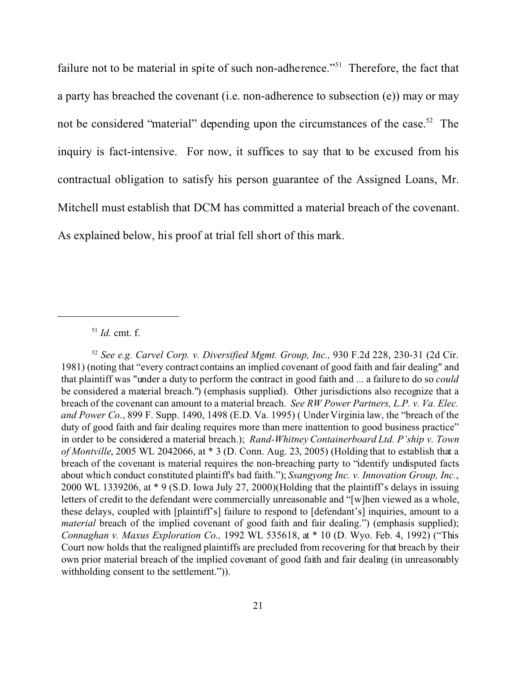failure not to be material in spite of such non-adherence."<sup>51</sup> Therefore, the fact that a party has breached the covenant (i.e. non-adherence to subsection (e)) may or may not be considered "material" depending upon the circumstances of the case.<sup>52</sup> The inquiry is fact-intensive. For now, it suffices to say that to be excused from his contractual obligation to satisfy his person guarantee of the Assigned Loans, Mr. Mitchell must establish that DCM has committed a material breach of the covenant. As explained below, his proof at trial fell short of this mark.

<sup>52</sup> *See e.g. Carvel Corp. v. Diversified Mgmt. Group, Inc.,* 930 F.2d 228, 230-31 (2d Cir. 1981) (noting that "every contract contains an implied covenant of good faith and fair dealing" and that plaintiff was "under a duty to perform the contract in good faith and ... a failure to do so *could* be considered a material breach.") (emphasis supplied). Other jurisdictions also recognize that a breach of the covenant can amount to a material breach. *See RW Power Partners, L.P. v. Va. Elec. and Power Co.*, 899 F. Supp. 1490, 1498 (E.D. Va. 1995) ( Under Virginia law, the "breach of the duty of good faith and fair dealing requires more than mere inattention to good business practice" in order to be considered a material breach.); *Rand-Whitney Containerboard Ltd. P'ship v. Town of Montville*, 2005 WL 2042066, at \* 3 (D. Conn. Aug. 23, 2005) (Holding that to establish that a breach of the covenant is material requires the non-breaching party to "identify undisputed facts about which conduct constituted plaintiff's bad faith."); *Ssangyong Inc. v. Innovation Group, Inc.*, 2000 WL 1339206, at \* 9 (S.D. Iowa July 27, 2000)(Holding that the plaintiff's delays in issuing letters of credit to the defendant were commercially unreasonable and "[w]hen viewed as a whole, these delays, coupled with [plaintiff's] failure to respond to [defendant's] inquiries, amount to a *material* breach of the implied covenant of good faith and fair dealing.") (emphasis supplied); *Connaghan v. Maxus Exploration Co.,* 1992 WL 535618, at \* 10 (D. Wyo. Feb. 4, 1992) ("This Court now holds that the realigned plaintiffs are precluded from recovering for that breach by their own prior material breach of the implied covenant of good faith and fair dealing (in unreasonably withholding consent to the settlement.")).

<sup>51</sup> *Id.* cmt. f.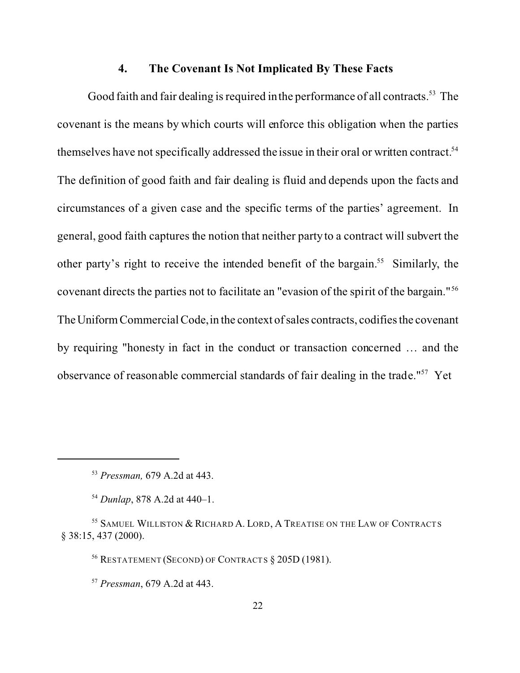### **4. The Covenant Is Not Implicated By These Facts**

Good faith and fair dealing is required in the performance of all contracts.<sup>53</sup> The covenant is the means by which courts will enforce this obligation when the parties themselves have not specifically addressed the issue in their oral or written contract.<sup>54</sup> The definition of good faith and fair dealing is fluid and depends upon the facts and circumstances of a given case and the specific terms of the parties' agreement. In general, good faith captures the notion that neither party to a contract will subvert the other party's right to receive the intended benefit of the bargain.<sup>55</sup> Similarly, the covenant directs the parties not to facilitate an "evasion of the spirit of the bargain."<sup>56</sup> The Uniform Commercial Code, in the context of sales contracts, codifies the covenant by requiring "honesty in fact in the conduct or transaction concerned … and the observance of reasonable commercial standards of fair dealing in the trade."57 Yet

<sup>53</sup> *Pressman,* 679 A.2d at 443.

<sup>54</sup> *Dunlap*, 878 A.2d at 440–1.

<sup>55</sup> SAMUEL WILLISTON & RICHARD A. LORD, A TREATISE ON THE LAW OF CONTRACTS § 38:15, 437 (2000).

<sup>56</sup> RESTATEMENT (SECOND) OF CONTRACTS § 205D (1981).

<sup>57</sup> *Pressman*, 679 A.2d at 443.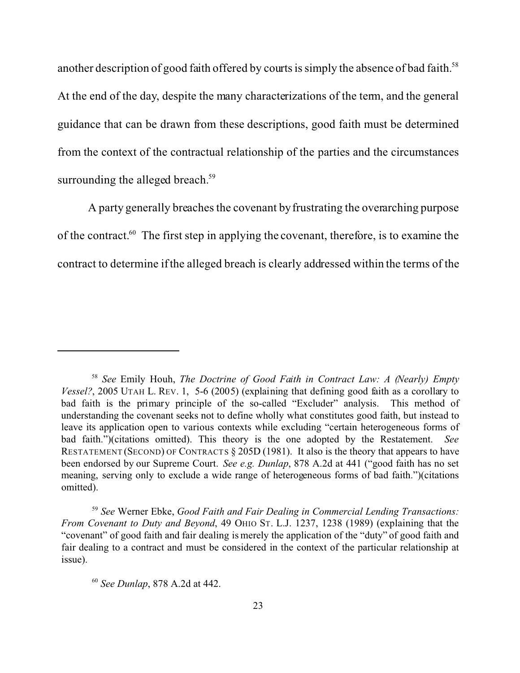another description of good faith offered by courts is simply the absence of bad faith.<sup>58</sup> At the end of the day, despite the many characterizations of the term, and the general guidance that can be drawn from these descriptions, good faith must be determined from the context of the contractual relationship of the parties and the circumstances surrounding the alleged breach.<sup>59</sup>

A party generally breaches the covenant by frustrating the overarching purpose of the contract.<sup>60</sup> The first step in applying the covenant, therefore, is to examine the contract to determine if the alleged breach is clearly addressed within the terms of the

<sup>59</sup> *See* Werner Ebke, *Good Faith and Fair Dealing in Commercial Lending Transactions: From Covenant to Duty and Beyond*, 49 OHIO ST. L.J. 1237, 1238 (1989) (explaining that the "covenant" of good faith and fair dealing is merely the application of the "duty" of good faith and fair dealing to a contract and must be considered in the context of the particular relationship at issue).

<sup>58</sup> *See* Emily Houh, *The Doctrine of Good Faith in Contract Law: A (Nearly) Empty Vessel?*, 2005 UTAH L. REV. 1, 5-6 (2005) (explaining that defining good faith as a corollary to bad faith is the primary principle of the so-called "Excluder" analysis. This method of understanding the covenant seeks not to define wholly what constitutes good faith, but instead to leave its application open to various contexts while excluding "certain heterogeneous forms of bad faith.")(citations omitted). This theory is the one adopted by the Restatement. *See* RESTATEMENT (SECOND) OF CONTRACTS § 205D (1981). It also is the theory that appears to have been endorsed by our Supreme Court. *See e.g. Dunlap*, 878 A.2d at 441 ("good faith has no set meaning, serving only to exclude a wide range of heterogeneous forms of bad faith.")(citations omitted).

<sup>60</sup> *See Dunlap*, 878 A.2d at 442.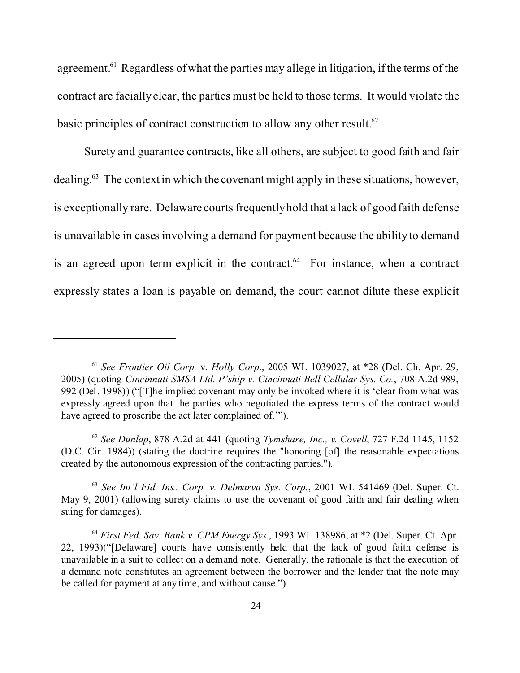agreement.<sup>61</sup> Regardless of what the parties may allege in litigation, if the terms of the contract are facially clear, the parties must be held to those terms. It would violate the basic principles of contract construction to allow any other result.<sup>62</sup>

Surety and guarantee contracts, like all others, are subject to good faith and fair dealing.<sup>63</sup> The context in which the covenant might apply in these situations, however, is exceptionally rare. Delaware courts frequently hold that a lack of good faith defense is unavailable in cases involving a demand for payment because the ability to demand is an agreed upon term explicit in the contract. $64$  For instance, when a contract expressly states a loan is payable on demand, the court cannot dilute these explicit

<sup>61</sup> *See Frontier Oil Corp.* v. *Holly Corp*., 2005 WL 1039027, at \*28 (Del. Ch. Apr. 29, 2005) (quoting *Cincinnati SMSA Ltd. P'ship v. Cincinnati Bell Cellular Sys. Co.*, 708 A.2d 989, 992 (Del. 1998)) ("[T]he implied covenant may only be invoked where it is 'clear from what was expressly agreed upon that the parties who negotiated the express terms of the contract would have agreed to proscribe the act later complained of.'").

<sup>62</sup> *See Dunlap*, 878 A.2d at 441 (quoting *Tymshare, Inc., v. Covell*, 727 F.2d 1145, 1152 (D.C. Cir. 1984)) (stating the doctrine requires the "honoring [of] the reasonable expectations created by the autonomous expression of the contracting parties.").

<sup>63</sup> *See Int'l Fid. Ins.. Corp. v. Delmarva Sys. Corp.*, 2001 WL 541469 (Del. Super. Ct. May 9, 2001) (allowing surety claims to use the covenant of good faith and fair dealing when suing for damages).

<sup>64</sup> *First Fed. Sav. Bank v. CPM Energy Sys.*, 1993 WL 138986, at \*2 (Del. Super. Ct. Apr. 22, 1993)("[Delaware] courts have consistently held that the lack of good faith defense is unavailable in a suit to collect on a demand note. Generally, the rationale is that the execution of a demand note constitutes an agreement between the borrower and the lender that the note may be called for payment at any time, and without cause.").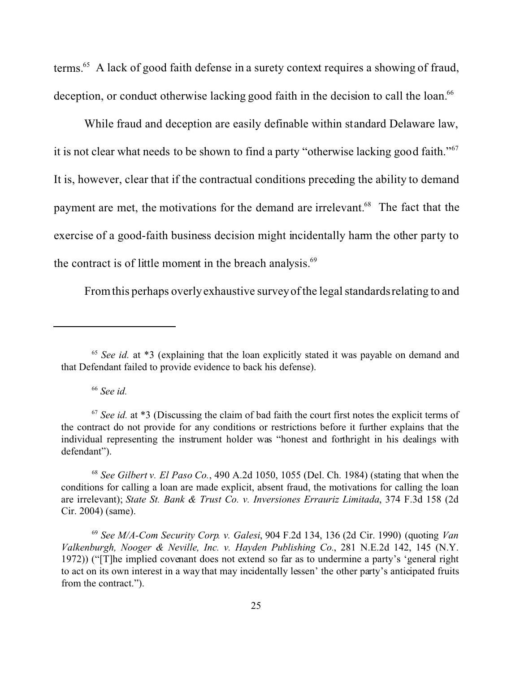terms.<sup>65</sup> A lack of good faith defense in a surety context requires a showing of fraud, deception, or conduct otherwise lacking good faith in the decision to call the loan.<sup>66</sup>

While fraud and deception are easily definable within standard Delaware law, it is not clear what needs to be shown to find a party "otherwise lacking good faith."<sup>67</sup> It is, however, clear that if the contractual conditions preceding the ability to demand payment are met, the motivations for the demand are irrelevant.<sup>68</sup> The fact that the exercise of a good-faith business decision might incidentally harm the other party to the contract is of little moment in the breach analysis.<sup>69</sup>

From this perhaps overly exhaustive survey of the legal standards relating to and

<sup>66</sup> *See id.*

<sup>68</sup> *See Gilbert v. El Paso Co.*, 490 A.2d 1050, 1055 (Del. Ch. 1984) (stating that when the conditions for calling a loan are made explicit, absent fraud, the motivations for calling the loan are irrelevant); *State St. Bank & Trust Co. v. Inversiones Errauriz Limitada*, 374 F.3d 158 (2d Cir. 2004) (same).

<sup>69</sup> *See M/A-Com Security Corp. v. Galesi*, 904 F.2d 134, 136 (2d Cir. 1990) (quoting *Van Valkenburgh, Nooger & Neville, Inc. v. Hayden Publishing Co.*, 281 N.E.2d 142, 145 (N.Y. 1972)) ("[T]he implied covenant does not extend so far as to undermine a party's 'general right to act on its own interest in a way that may incidentally lessen' the other party's anticipated fruits from the contract.").

<sup>&</sup>lt;sup>65</sup> *See id.* at \*3 (explaining that the loan explicitly stated it was payable on demand and that Defendant failed to provide evidence to back his defense).

<sup>&</sup>lt;sup>67</sup> See id. at \*3 (Discussing the claim of bad faith the court first notes the explicit terms of the contract do not provide for any conditions or restrictions before it further explains that the individual representing the instrument holder was "honest and forthright in his dealings with defendant").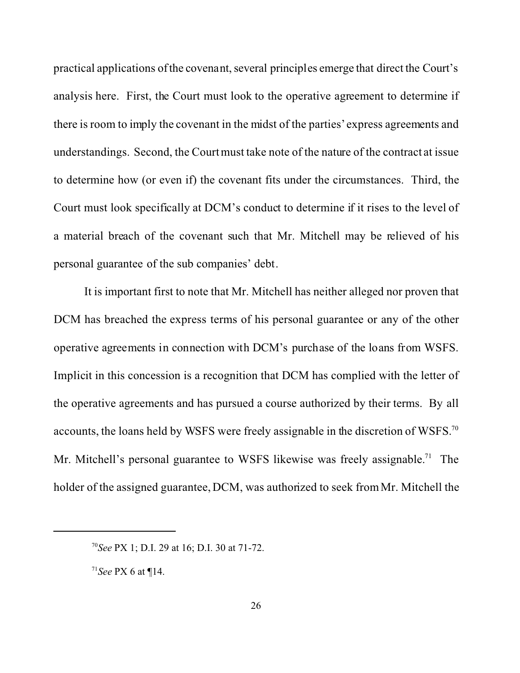practical applications of the covenant, several principles emerge that direct the Court's analysis here. First, the Court must look to the operative agreement to determine if there is room to imply the covenant in the midst of the parties' express agreements and understandings. Second, the Court must take note of the nature of the contract at issue to determine how (or even if) the covenant fits under the circumstances. Third, the Court must look specifically at DCM's conduct to determine if it rises to the level of a material breach of the covenant such that Mr. Mitchell may be relieved of his personal guarantee of the sub companies' debt.

It is important first to note that Mr. Mitchell has neither alleged nor proven that DCM has breached the express terms of his personal guarantee or any of the other operative agreements in connection with DCM's purchase of the loans from WSFS. Implicit in this concession is a recognition that DCM has complied with the letter of the operative agreements and has pursued a course authorized by their terms. By all accounts, the loans held by WSFS were freely assignable in the discretion of WSFS.<sup>70</sup> Mr. Mitchell's personal guarantee to WSFS likewise was freely assignable.<sup>71</sup> The holder of the assigned guarantee, DCM, was authorized to seek from Mr. Mitchell the

<sup>70</sup>*See* PX 1; D.I. 29 at 16; D.I. 30 at 71-72.

<sup>71</sup>*See* PX 6 at ¶14.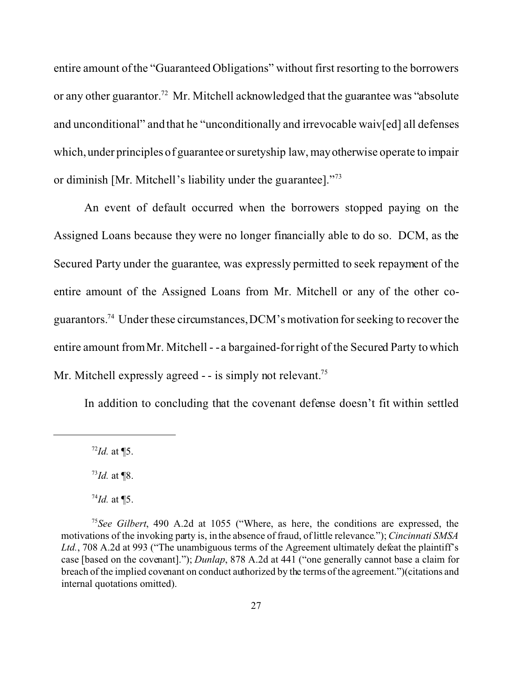entire amount of the "Guaranteed Obligations" without first resorting to the borrowers or any other guarantor.<sup>72</sup> Mr. Mitchell acknowledged that the guarantee was "absolute" and unconditional" and that he "unconditionally and irrevocable waiv[ed] all defenses which, under principles of guarantee or suretyship law, mayotherwise operate to impair or diminish [Mr. Mitchell's liability under the guarantee]."<sup>73</sup>

An event of default occurred when the borrowers stopped paying on the Assigned Loans because they were no longer financially able to do so. DCM, as the Secured Party under the guarantee, was expressly permitted to seek repayment of the entire amount of the Assigned Loans from Mr. Mitchell or any of the other coguarantors.<sup>74</sup> Under these circumstances, DCM's motivation for seeking to recover the entire amount from Mr. Mitchell - - a bargained-for right of the Secured Party to which Mr. Mitchell expressly agreed  $-$  is simply not relevant.<sup>75</sup>

In addition to concluding that the covenant defense doesn't fit within settled

<sup>72</sup>*Id.* at ¶5.

<sup>73</sup>*Id.* at ¶8.

 $^{74}$ *Id.* at ¶5.

<sup>75</sup>*See Gilbert*, 490 A.2d at 1055 ("Where, as here, the conditions are expressed, the motivations of the invoking party is, in the absence of fraud, of little relevance."); *Cincinnati SMSA* Ltd., 708 A.2d at 993 ("The unambiguous terms of the Agreement ultimately defeat the plaintiff's case [based on the covenant]."); *Dunlap*, 878 A.2d at 441 ("one generally cannot base a claim for breach of the implied covenant on conduct authorized by the terms of the agreement.")(citations and internal quotations omitted).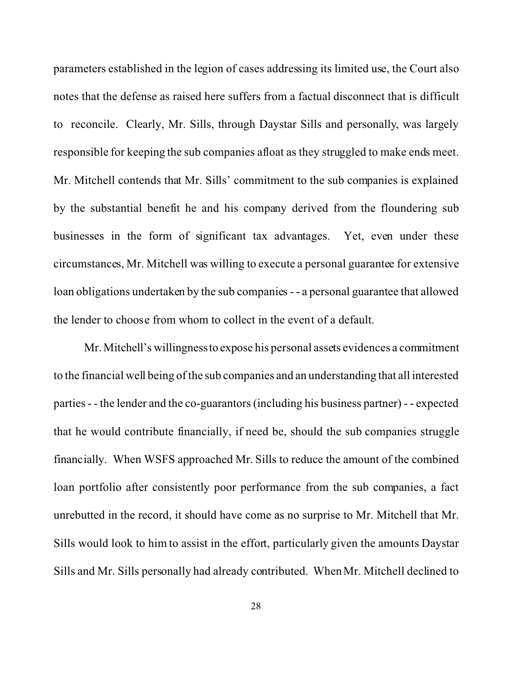parameters established in the legion of cases addressing its limited use, the Court also notes that the defense as raised here suffers from a factual disconnect that is difficult to reconcile. Clearly, Mr. Sills, through Daystar Sills and personally, was largely responsible for keeping the sub companies afloat as they struggled to make ends meet. Mr. Mitchell contends that Mr. Sills' commitment to the sub companies is explained by the substantial benefit he and his company derived from the floundering sub businesses in the form of significant tax advantages. Yet, even under these circumstances, Mr. Mitchell was willing to execute a personal guarantee for extensive loan obligations undertaken by the sub companies - - a personal guarantee that allowed the lender to choose from whom to collect in the event of a default.

Mr. Mitchell's willingnessto expose his personal assets evidences a commitment to the financial well being of the sub companies and an understanding that all interested parties - - the lender and the co-guarantors (including his business partner) - - expected that he would contribute financially, if need be, should the sub companies struggle financially. When WSFS approached Mr. Sills to reduce the amount of the combined loan portfolio after consistently poor performance from the sub companies, a fact unrebutted in the record, it should have come as no surprise to Mr. Mitchell that Mr. Sills would look to him to assist in the effort, particularly given the amounts Daystar Sills and Mr. Sills personally had already contributed. When Mr. Mitchell declined to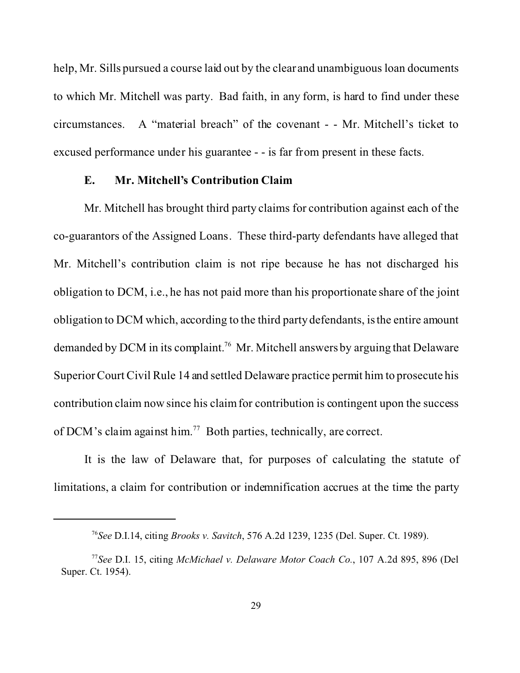help, Mr. Sills pursued a course laid out by the clear and unambiguous loan documents to which Mr. Mitchell was party. Bad faith, in any form, is hard to find under these circumstances. A "material breach" of the covenant - - Mr. Mitchell's ticket to excused performance under his guarantee - - is far from present in these facts.

#### **E. Mr. Mitchell's Contribution Claim**

Mr. Mitchell has brought third party claims for contribution against each of the co-guarantors of the Assigned Loans. These third-party defendants have alleged that Mr. Mitchell's contribution claim is not ripe because he has not discharged his obligation to DCM, i.e., he has not paid more than his proportionate share of the joint obligation to DCM which, according to the third party defendants, is the entire amount demanded by DCM in its complaint.<sup>76</sup> Mr. Mitchell answers by arguing that Delaware Superior Court Civil Rule 14 and settled Delaware practice permit him to prosecute his contribution claim now since his claim for contribution is contingent upon the success of DCM's claim against him.<sup>77</sup> Both parties, technically, are correct.

It is the law of Delaware that, for purposes of calculating the statute of limitations, a claim for contribution or indemnification accrues at the time the party

<sup>76</sup>*See* D.I.14, citing *Brooks v. Savitch*, 576 A.2d 1239, 1235 (Del. Super. Ct. 1989).

<sup>77</sup>*See* D.I. 15, citing *McMichael v. Delaware Motor Coach Co.*, 107 A.2d 895, 896 (Del Super. Ct. 1954).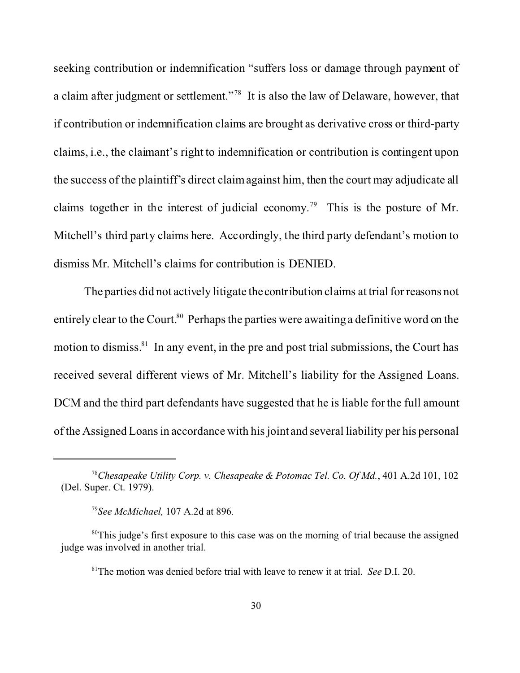seeking contribution or indemnification "suffers loss or damage through payment of a claim after judgment or settlement."<sup>78</sup> It is also the law of Delaware, however, that if contribution or indemnification claims are brought as derivative cross or third-party claims, i.e., the claimant's right to indemnification or contribution is contingent upon the success of the plaintiff's direct claim against him, then the court may adjudicate all claims together in the interest of judicial economy.<sup>79</sup> This is the posture of Mr. Mitchell's third party claims here. Accordingly, the third party defendant's motion to dismiss Mr. Mitchell's claims for contribution is DENIED.

The parties did not actively litigate the contribution claims at trial for reasons not entirely clear to the Court.<sup>80</sup> Perhaps the parties were awaiting a definitive word on the motion to dismiss. $81$  In any event, in the pre and post trial submissions, the Court has received several different views of Mr. Mitchell's liability for the Assigned Loans. DCM and the third part defendants have suggested that he is liable for the full amount of the Assigned Loans in accordance with his joint and several liability per his personal

<sup>78</sup>*Chesapeake Utility Corp. v. Chesapeake & Potomac Tel*. *Co. Of Md.*, 401 A.2d 101, 102 (Del. Super. Ct. 1979).

<sup>79</sup>*See McMichael,* 107 A.2d at 896.

<sup>&</sup>lt;sup>80</sup>This judge's first exposure to this case was on the morning of trial because the assigned judge was involved in another trial.

<sup>81</sup>The motion was denied before trial with leave to renew it at trial. *See* D.I. 20.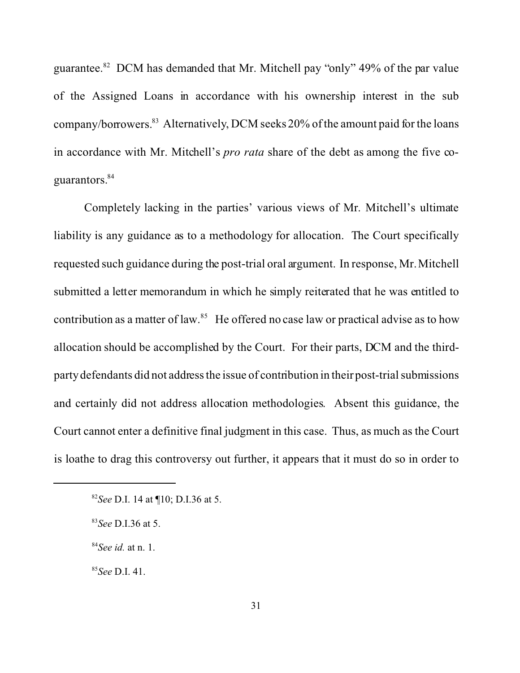guarantee. $82$  DCM has demanded that Mr. Mitchell pay "only" 49% of the par value of the Assigned Loans in accordance with his ownership interest in the sub company/borrowers.<sup>83</sup> Alternatively, DCM seeks 20% of the amount paid for the loans in accordance with Mr. Mitchell's *pro rata* share of the debt as among the five coguarantors.<sup>84</sup>

Completely lacking in the parties' various views of Mr. Mitchell's ultimate liability is any guidance as to a methodology for allocation. The Court specifically requested such guidance during the post-trial oral argument. In response, Mr. Mitchell submitted a letter memorandum in which he simply reiterated that he was entitled to contribution as a matter of law.<sup>85</sup> He offered no case law or practical advise as to how allocation should be accomplished by the Court. For their parts, DCM and the thirdparty defendants did not address the issue of contribution in their post-trial submissions and certainly did not address allocation methodologies. Absent this guidance, the Court cannot enter a definitive final judgment in this case. Thus, as much as the Court is loathe to drag this controversy out further, it appears that it must do so in order to

<sup>85</sup>*See* D.I. 41.

<sup>82</sup>*See* D.I. 14 at ¶10; D.I.36 at 5.

<sup>83</sup>*See* D.I.36 at 5.

<sup>84</sup>*See id.* at n. 1.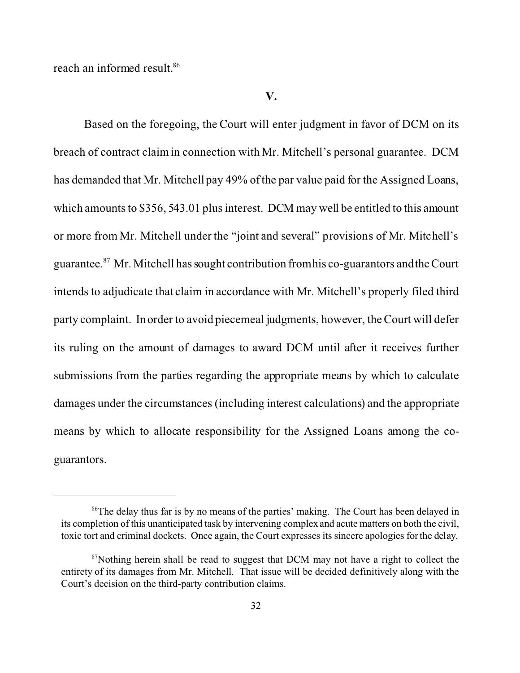reach an informed result.<sup>86</sup>

Based on the foregoing, the Court will enter judgment in favor of DCM on its breach of contract claim in connection with Mr. Mitchell's personal guarantee. DCM has demanded that Mr. Mitchell pay 49% of the par value paid for the Assigned Loans, which amounts to \$356, 543.01 plus interest. DCM may well be entitled to this amount or more from Mr. Mitchell under the "joint and several" provisions of Mr. Mitchell's guarantee.<sup>87</sup> Mr. Mitchell has sought contribution from his co-guarantors and the Court intends to adjudicate that claim in accordance with Mr. Mitchell's properly filed third party complaint. In order to avoid piecemeal judgments, however, the Court will defer its ruling on the amount of damages to award DCM until after it receives further submissions from the parties regarding the appropriate means by which to calculate damages under the circumstances (including interest calculations) and the appropriate means by which to allocate responsibility for the Assigned Loans among the coguarantors.

<sup>&</sup>lt;sup>86</sup>The delay thus far is by no means of the parties' making. The Court has been delayed in its completion of this unanticipated task by intervening complex and acute matters on both the civil, toxic tort and criminal dockets. Once again, the Court expresses its sincere apologies for the delay.

 $87$ Nothing herein shall be read to suggest that DCM may not have a right to collect the entirety of its damages from Mr. Mitchell. That issue will be decided definitively along with the Court's decision on the third-party contribution claims.